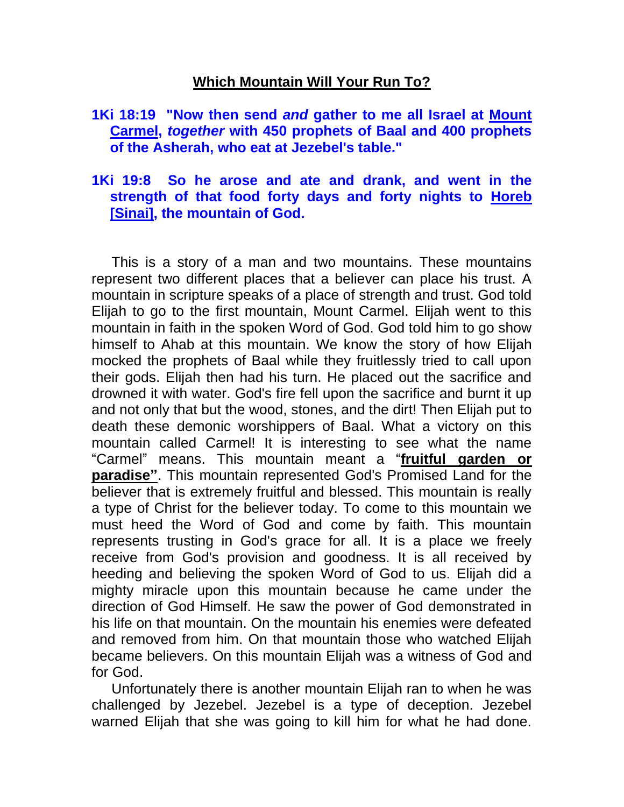## **Which Mountain Will Your Run To?**

## **1Ki 18:19 "Now then send** *and* **gather to me all Israel at Mount Carmel,** *together* **with 450 prophets of Baal and 400 prophets of the Asherah, who eat at Jezebel's table."**

## **1Ki 19:8 So he arose and ate and drank, and went in the strength of that food forty days and forty nights to Horeb [Sinai], the mountain of God.**

 This is a story of a man and two mountains. These mountains represent two different places that a believer can place his trust. A mountain in scripture speaks of a place of strength and trust. God told Elijah to go to the first mountain, Mount Carmel. Elijah went to this mountain in faith in the spoken Word of God. God told him to go show himself to Ahab at this mountain. We know the story of how Elijah mocked the prophets of Baal while they fruitlessly tried to call upon their gods. Elijah then had his turn. He placed out the sacrifice and drowned it with water. God's fire fell upon the sacrifice and burnt it up and not only that but the wood, stones, and the dirt! Then Elijah put to death these demonic worshippers of Baal. What a victory on this mountain called Carmel! It is interesting to see what the name "Carmel" means. This mountain meant a "**fruitful garden or paradise"**. This mountain represented God's Promised Land for the believer that is extremely fruitful and blessed. This mountain is really a type of Christ for the believer today. To come to this mountain we must heed the Word of God and come by faith. This mountain represents trusting in God's grace for all. It is a place we freely receive from God's provision and goodness. It is all received by heeding and believing the spoken Word of God to us. Elijah did a mighty miracle upon this mountain because he came under the direction of God Himself. He saw the power of God demonstrated in his life on that mountain. On the mountain his enemies were defeated and removed from him. On that mountain those who watched Elijah became believers. On this mountain Elijah was a witness of God and for God.

 Unfortunately there is another mountain Elijah ran to when he was challenged by Jezebel. Jezebel is a type of deception. Jezebel warned Elijah that she was going to kill him for what he had done.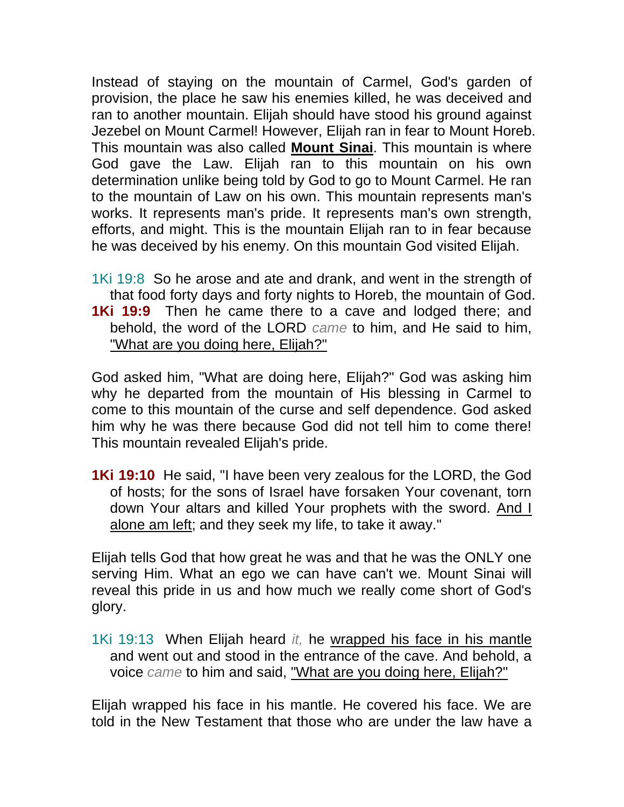Instead of staying on the mountain of Carmel, God's garden of provision, the place he saw his enemies killed, he was deceived and ran to another mountain. Elijah should have stood his ground against Jezebel on Mount Carmel! However, Elijah ran in fear to Mount Horeb. This mountain was also called **Mount Sinai**. This mountain is where God gave the Law. Elijah ran to this mountain on his own determination unlike being told by God to go to Mount Carmel. He ran to the mountain of Law on his own. This mountain represents man's works. It represents man's pride. It represents man's own strength, efforts, and might. This is the mountain Elijah ran to in fear because he was deceived by his enemy. On this mountain God visited Elijah.

1Ki 19:8 So he arose and ate and drank, and went in the strength of that food forty days and forty nights to Horeb, the mountain of God. **1Ki 19:9** Then he came there to a cave and lodged there; and behold, the word of the LORD *came* to him, and He said to him, "What are you doing here, Elijah?"

God asked him, "What are doing here, Elijah?" God was asking him why he departed from the mountain of His blessing in Carmel to come to this mountain of the curse and self dependence. God asked him why he was there because God did not tell him to come there! This mountain revealed Elijah's pride.

**1Ki 19:10** He said, "I have been very zealous for the LORD, the God of hosts; for the sons of Israel have forsaken Your covenant, torn down Your altars and killed Your prophets with the sword. And I alone am left; and they seek my life, to take it away."

Elijah tells God that how great he was and that he was the ONLY one serving Him. What an ego we can have can't we. Mount Sinai will reveal this pride in us and how much we really come short of God's glory.

1Ki 19:13 When Elijah heard *it,* he wrapped his face in his mantle and went out and stood in the entrance of the cave. And behold, a voice *came* to him and said, "What are you doing here, Elijah?"

Elijah wrapped his face in his mantle. He covered his face. We are told in the New Testament that those who are under the law have a